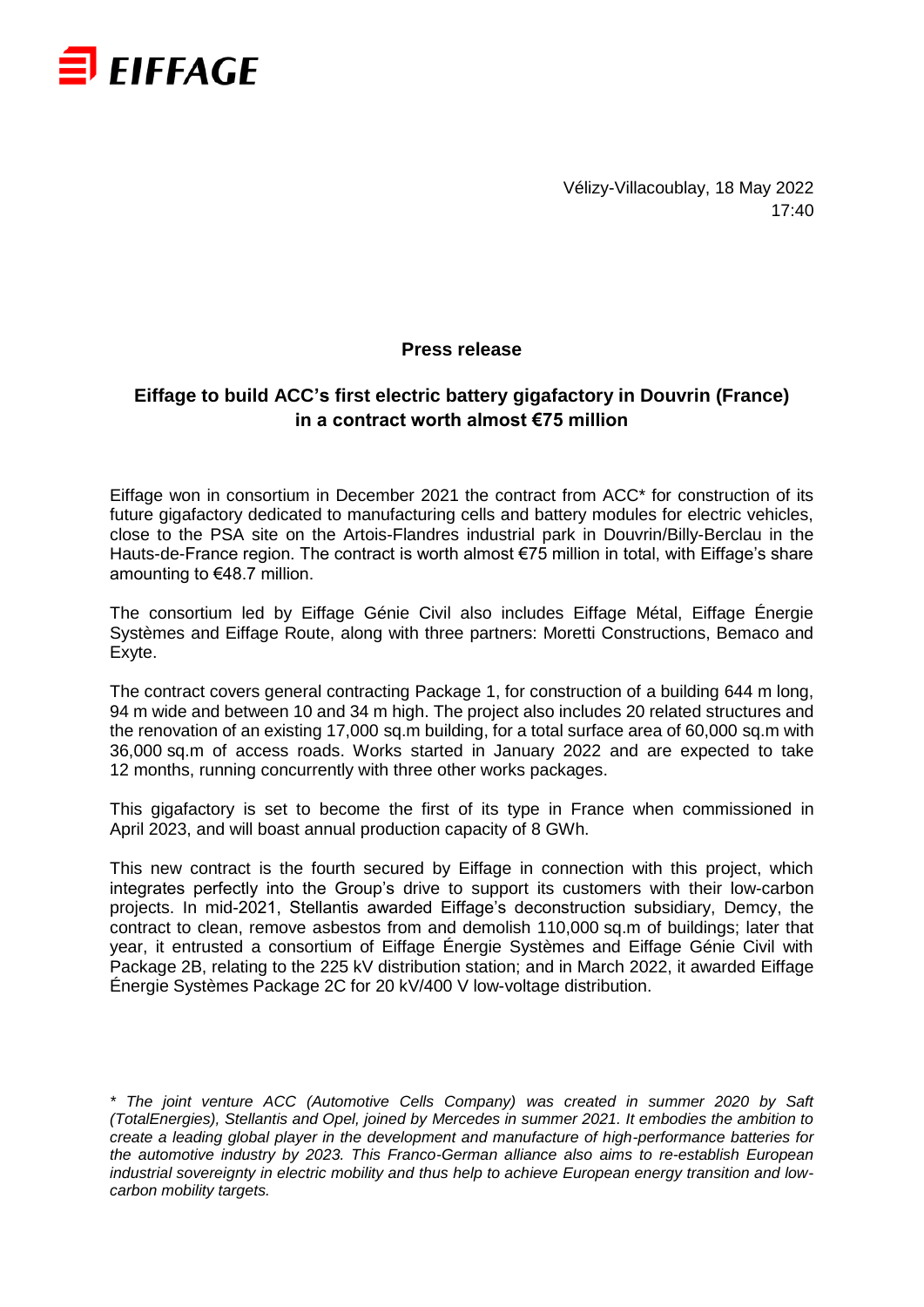

Vélizy-Villacoublay, 18 May 2022 17:40

### **Press release**

## **Eiffage to build ACC's first electric battery gigafactory in Douvrin (France) in a contract worth almost €75 million**

Eiffage won in consortium in December 2021 the contract from ACC\* for construction of its future gigafactory dedicated to manufacturing cells and battery modules for electric vehicles, close to the PSA site on the Artois-Flandres industrial park in Douvrin/Billy-Berclau in the Hauts-de-France region. The contract is worth almost €75 million in total, with Eiffage's share amounting to €48.7 million.

The consortium led by Eiffage Génie Civil also includes Eiffage Métal, Eiffage Énergie Systèmes and Eiffage Route, along with three partners: Moretti Constructions, Bemaco and Exyte.

The contract covers general contracting Package 1, for construction of a building 644 m long, 94 m wide and between 10 and 34 m high. The project also includes 20 related structures and the renovation of an existing 17,000 sq.m building, for a total surface area of 60,000 sq.m with 36,000 sq.m of access roads. Works started in January 2022 and are expected to take 12 months, running concurrently with three other works packages.

This gigafactory is set to become the first of its type in France when commissioned in April 2023, and will boast annual production capacity of 8 GWh.

This new contract is the fourth secured by Eiffage in connection with this project, which integrates perfectly into the Group's drive to support its customers with their low-carbon projects. In mid-2021, Stellantis awarded Eiffage's deconstruction subsidiary, Demcy, the contract to clean, remove asbestos from and demolish 110,000 sq.m of buildings; later that year, it entrusted a consortium of Eiffage Énergie Systèmes and Eiffage Génie Civil with Package 2B, relating to the 225 kV distribution station; and in March 2022, it awarded Eiffage Énergie Systèmes Package 2C for 20 kV/400 V low-voltage distribution.

*\* The joint venture ACC (Automotive Cells Company) was created in summer 2020 by Saft (TotalEnergies), Stellantis and Opel, joined by Mercedes in summer 2021. It embodies the ambition to create a leading global player in the development and manufacture of high-performance batteries for the automotive industry by 2023. This Franco-German alliance also aims to re-establish European industrial sovereignty in electric mobility and thus help to achieve European energy transition and lowcarbon mobility targets.*